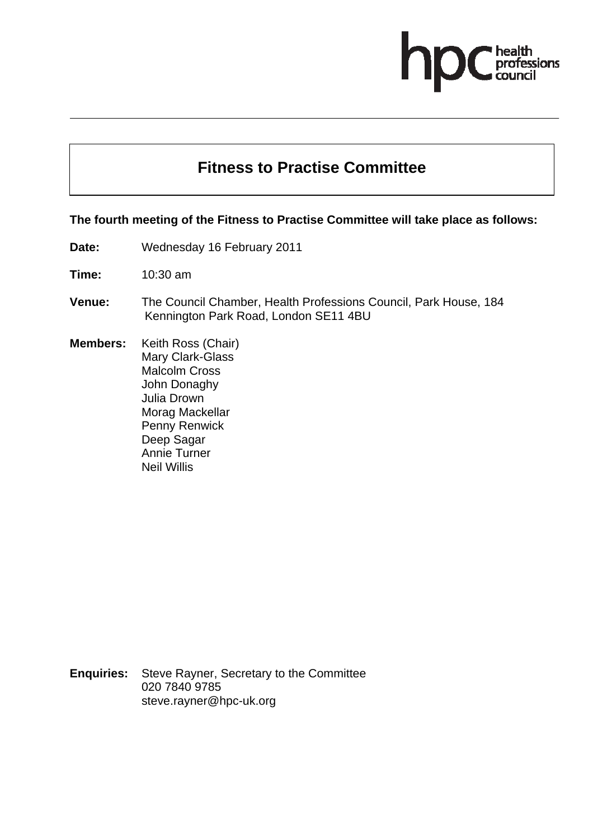## ofessions

## **Fitness to Practise Committee**

## **The fourth meeting of the Fitness to Practise Committee will take place as follows:**

**Date:** Wednesday 16 February 2011

**Time:** 10:30 am

- **Venue:** The Council Chamber, Health Professions Council, Park House, 184 Kennington Park Road, London SE11 4BU
- **Members:** Keith Ross (Chair) Mary Clark-Glass Malcolm Cross John Donaghy Julia Drown Morag Mackellar Penny Renwick Deep Sagar Annie Turner Neil Willis

**Enquiries:** Steve Rayner, Secretary to the Committee 020 7840 9785 steve.rayner@hpc-uk.org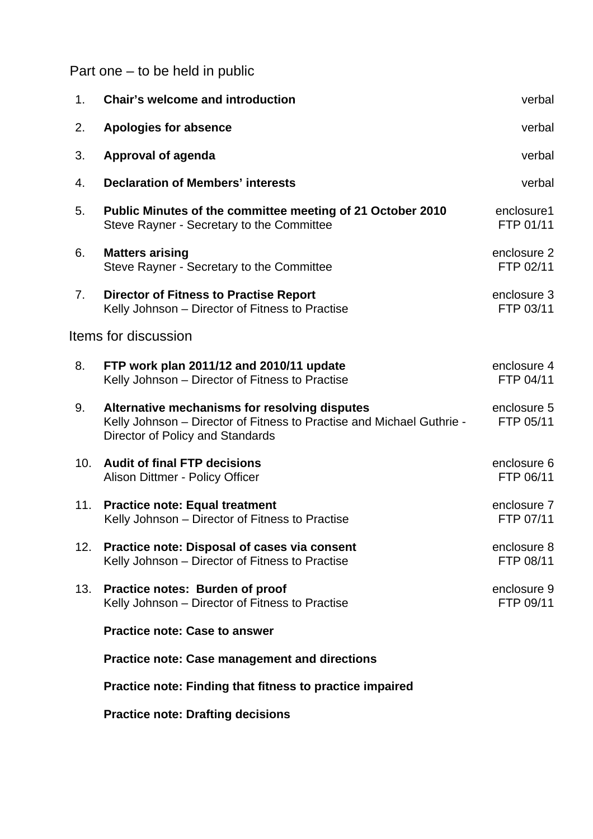Part one – to be held in public

| 1.  | <b>Chair's welcome and introduction</b>                                                                                                                    | verbal                   |
|-----|------------------------------------------------------------------------------------------------------------------------------------------------------------|--------------------------|
| 2.  | <b>Apologies for absence</b>                                                                                                                               | verbal                   |
| 3.  | Approval of agenda                                                                                                                                         | verbal                   |
| 4.  | <b>Declaration of Members' interests</b>                                                                                                                   | verbal                   |
| 5.  | Public Minutes of the committee meeting of 21 October 2010<br>Steve Rayner - Secretary to the Committee                                                    | enclosure1<br>FTP 01/11  |
| 6.  | <b>Matters arising</b><br>Steve Rayner - Secretary to the Committee                                                                                        | enclosure 2<br>FTP 02/11 |
| 7.  | <b>Director of Fitness to Practise Report</b><br>Kelly Johnson - Director of Fitness to Practise                                                           | enclosure 3<br>FTP 03/11 |
|     | Items for discussion                                                                                                                                       |                          |
| 8.  | FTP work plan 2011/12 and 2010/11 update<br>Kelly Johnson - Director of Fitness to Practise                                                                | enclosure 4<br>FTP 04/11 |
| 9.  | Alternative mechanisms for resolving disputes<br>Kelly Johnson – Director of Fitness to Practise and Michael Guthrie -<br>Director of Policy and Standards | enclosure 5<br>FTP 05/11 |
| 10. | <b>Audit of final FTP decisions</b><br>Alison Dittmer - Policy Officer                                                                                     | enclosure 6<br>FTP 06/11 |
| 11. | <b>Practice note: Equal treatment</b><br>Kelly Johnson – Director of Fitness to Practise                                                                   | enclosure 7<br>FTP 07/11 |
| 12. | Practice note: Disposal of cases via consent<br>Kelly Johnson - Director of Fitness to Practise                                                            | enclosure 8<br>FTP 08/11 |
| 13. | Practice notes: Burden of proof<br>Kelly Johnson - Director of Fitness to Practise                                                                         | enclosure 9<br>FTP 09/11 |
|     | <b>Practice note: Case to answer</b>                                                                                                                       |                          |
|     | <b>Practice note: Case management and directions</b>                                                                                                       |                          |
|     | Practice note: Finding that fitness to practice impaired                                                                                                   |                          |

**Practice note: Drafting decisions**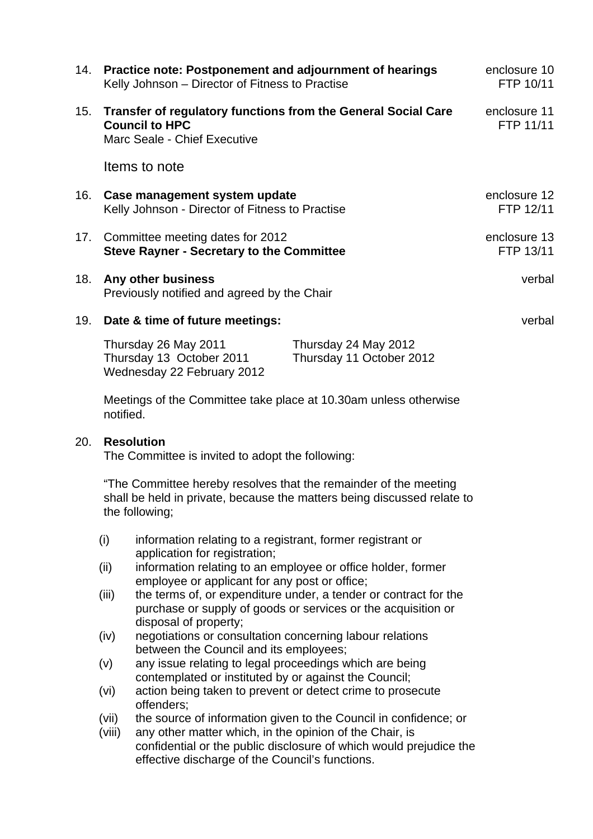| 14. | Practice note: Postponement and adjournment of hearings<br>Kelly Johnson – Director of Fitness to Practise             |                                                  | enclosure 10<br>FTP 10/11 |
|-----|------------------------------------------------------------------------------------------------------------------------|--------------------------------------------------|---------------------------|
| 15. | Transfer of regulatory functions from the General Social Care<br><b>Council to HPC</b><br>Marc Seale - Chief Executive |                                                  | enclosure 11<br>FTP 11/11 |
|     | Items to note                                                                                                          |                                                  |                           |
| 16. | Case management system update<br>Kelly Johnson - Director of Fitness to Practise                                       |                                                  | enclosure 12<br>FTP 12/11 |
| 17. | Committee meeting dates for 2012<br><b>Steve Rayner - Secretary to the Committee</b>                                   |                                                  | enclosure 13<br>FTP 13/11 |
| 18. | Any other business<br>Previously notified and agreed by the Chair                                                      | verbal                                           |                           |
| 19. | Date & time of future meetings:                                                                                        |                                                  | verbal                    |
|     | Thursday 26 May 2011<br>Thursday 13 October 2011<br>Wednesday 22 February 2012                                         | Thursday 24 May 2012<br>Thursday 11 October 2012 |                           |

Meetings of the Committee take place at 10.30am unless otherwise notified.

## 20. **Resolution**

The Committee is invited to adopt the following:

"The Committee hereby resolves that the remainder of the meeting shall be held in private, because the matters being discussed relate to the following;

- (i) information relating to a registrant, former registrant or application for registration;
- (ii) information relating to an employee or office holder, former employee or applicant for any post or office;
- (iii) the terms of, or expenditure under, a tender or contract for the purchase or supply of goods or services or the acquisition or disposal of property;
- (iv) negotiations or consultation concerning labour relations between the Council and its employees;
- (v) any issue relating to legal proceedings which are being contemplated or instituted by or against the Council;
- (vi) action being taken to prevent or detect crime to prosecute offenders;
- (vii) the source of information given to the Council in confidence; or
- (viii) any other matter which, in the opinion of the Chair, is confidential or the public disclosure of which would prejudice the effective discharge of the Council's functions.